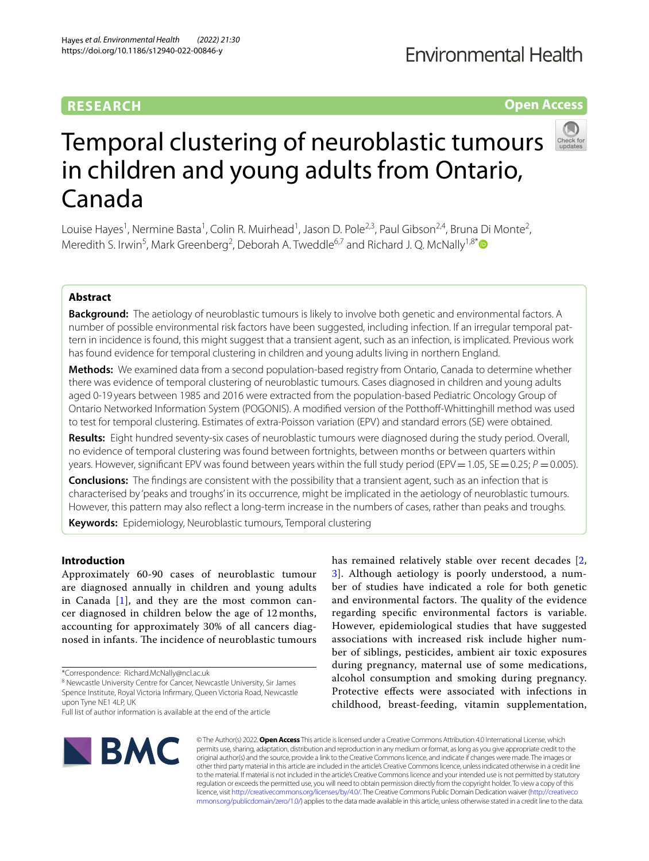## **RESEARCH**

## **Fnvironmental Health**

**Open Access**

# Temporal clustering of neuroblastic tumours in children and young adults from Ontario, Canada

Louise Hayes<sup>1</sup>, Nermine Basta<sup>1</sup>, Colin R. Muirhead<sup>1</sup>, Jason D. Pole<sup>2,3</sup>, Paul Gibson<sup>2,4</sup>, Bruna Di Monte<sup>2</sup>, Meredith S. Irwin<sup>5</sup>, Mark Greenberg<sup>2</sup>, Deborah A. Tweddle<sup>6,7</sup> and Richard J. Q. McNally<sup>1,8[\\*](http://orcid.org/0000-0001-6685-6467)</sup>

## **Abstract**

**Background:** The aetiology of neuroblastic tumours is likely to involve both genetic and environmental factors. A number of possible environmental risk factors have been suggested, including infection. If an irregular temporal pattern in incidence is found, this might suggest that a transient agent, such as an infection, is implicated. Previous work has found evidence for temporal clustering in children and young adults living in northern England.

**Methods:** We examined data from a second population-based registry from Ontario, Canada to determine whether there was evidence of temporal clustering of neuroblastic tumours. Cases diagnosed in children and young adults aged 0-19 years between 1985 and 2016 were extracted from the population-based Pediatric Oncology Group of Ontario Networked Information System (POGONIS). A modifed version of the Potthof-Whittinghill method was used to test for temporal clustering. Estimates of extra-Poisson variation (EPV) and standard errors (SE) were obtained.

**Results:** Eight hundred seventy-six cases of neuroblastic tumours were diagnosed during the study period. Overall, no evidence of temporal clustering was found between fortnights, between months or between quarters within years. However, significant EPV was found between years within the full study period (EPV = 1.05,  $SE$  = 0.25;  $P$  = 0.005).

**Conclusions:** The fndings are consistent with the possibility that a transient agent, such as an infection that is characterised by 'peaks and troughs' in its occurrence, might be implicated in the aetiology of neuroblastic tumours. However, this pattern may also refect a long-term increase in the numbers of cases, rather than peaks and troughs.

**Keywords:** Epidemiology, Neuroblastic tumours, Temporal clustering

## **Introduction**

Approximately 60-90 cases of neuroblastic tumour are diagnosed annually in children and young adults in Canada [[1\]](#page-6-0), and they are the most common cancer diagnosed in children below the age of 12 months, accounting for approximately 30% of all cancers diagnosed in infants. The incidence of neuroblastic tumours

\*Correspondence: Richard.McNally@ncl.ac.uk

<sup>8</sup> Newcastle University Centre for Cancer, Newcastle University, Sir James Spence Institute, Royal Victoria Infrmary, Queen Victoria Road, Newcastle upon Tyne NE1 4LP, UK

has remained relatively stable over recent decades [\[2](#page-6-1), [3\]](#page-6-2). Although aetiology is poorly understood, a number of studies have indicated a role for both genetic and environmental factors. The quality of the evidence regarding specifc environmental factors is variable. However, epidemiological studies that have suggested associations with increased risk include higher number of siblings, pesticides, ambient air toxic exposures during pregnancy, maternal use of some medications, alcohol consumption and smoking during pregnancy. Protective efects were associated with infections in childhood, breast-feeding, vitamin supplementation,



© The Author(s) 2022. **Open Access** This article is licensed under a Creative Commons Attribution 4.0 International License, which permits use, sharing, adaptation, distribution and reproduction in any medium or format, as long as you give appropriate credit to the original author(s) and the source, provide a link to the Creative Commons licence, and indicate if changes were made. The images or other third party material in this article are included in the article's Creative Commons licence, unless indicated otherwise in a credit line to the material. If material is not included in the article's Creative Commons licence and your intended use is not permitted by statutory regulation or exceeds the permitted use, you will need to obtain permission directly from the copyright holder. To view a copy of this licence, visit [http://creativecommons.org/licenses/by/4.0/.](http://creativecommons.org/licenses/by/4.0/) The Creative Commons Public Domain Dedication waiver ([http://creativeco](http://creativecommons.org/publicdomain/zero/1.0/) [mmons.org/publicdomain/zero/1.0/](http://creativecommons.org/publicdomain/zero/1.0/)) applies to the data made available in this article, unless otherwise stated in a credit line to the data.

Full list of author information is available at the end of the article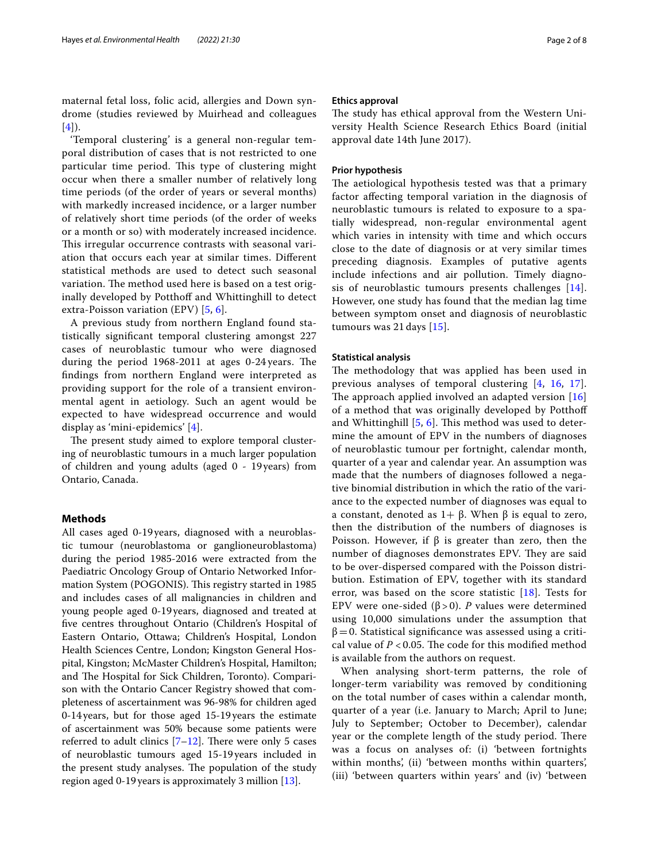maternal fetal loss, folic acid, allergies and Down syndrome (studies reviewed by Muirhead and colleagues  $[4]$  $[4]$  $[4]$ ).

'Temporal clustering' is a general non-regular temporal distribution of cases that is not restricted to one particular time period. This type of clustering might occur when there a smaller number of relatively long time periods (of the order of years or several months) with markedly increased incidence, or a larger number of relatively short time periods (of the order of weeks or a month or so) with moderately increased incidence. This irregular occurrence contrasts with seasonal variation that occurs each year at similar times. Diferent statistical methods are used to detect such seasonal variation. The method used here is based on a test originally developed by Potthoff and Whittinghill to detect extra-Poisson variation (EPV) [[5](#page-6-4), [6\]](#page-6-5).

A previous study from northern England found statistically signifcant temporal clustering amongst 227 cases of neuroblastic tumour who were diagnosed during the period  $1968-2011$  at ages 0-24 years. The fndings from northern England were interpreted as providing support for the role of a transient environmental agent in aetiology. Such an agent would be expected to have widespread occurrence and would display as 'mini-epidemics' [\[4](#page-6-3)].

The present study aimed to explore temporal clustering of neuroblastic tumours in a much larger population of children and young adults (aged 0 - 19years) from Ontario, Canada.

#### **Methods**

All cases aged 0-19years, diagnosed with a neuroblastic tumour (neuroblastoma or ganglioneuroblastoma) during the period 1985-2016 were extracted from the Paediatric Oncology Group of Ontario Networked Information System (POGONIS). This registry started in 1985 and includes cases of all malignancies in children and young people aged 0-19years, diagnosed and treated at fve centres throughout Ontario (Children's Hospital of Eastern Ontario, Ottawa; Children's Hospital, London Health Sciences Centre, London; Kingston General Hospital, Kingston; McMaster Children's Hospital, Hamilton; and The Hospital for Sick Children, Toronto). Comparison with the Ontario Cancer Registry showed that completeness of ascertainment was 96-98% for children aged 0-14years, but for those aged 15-19years the estimate of ascertainment was 50% because some patients were referred to adult clinics  $[7-12]$  $[7-12]$  $[7-12]$ . There were only 5 cases of neuroblastic tumours aged 15-19years included in the present study analyses. The population of the study region aged 0-19years is approximately 3 million [[13\]](#page-6-8).

#### **Ethics approval**

The study has ethical approval from the Western University Health Science Research Ethics Board (initial approval date 14th June 2017).

#### **Prior hypothesis**

The aetiological hypothesis tested was that a primary factor afecting temporal variation in the diagnosis of neuroblastic tumours is related to exposure to a spatially widespread, non-regular environmental agent which varies in intensity with time and which occurs close to the date of diagnosis or at very similar times preceding diagnosis. Examples of putative agents include infections and air pollution. Timely diagnosis of neuroblastic tumours presents challenges [[14](#page-6-9)]. However, one study has found that the median lag time between symptom onset and diagnosis of neuroblastic tumours was 21 days [[15](#page-6-10)].

#### **Statistical analysis**

The methodology that was applied has been used in previous analyses of temporal clustering [[4,](#page-6-3) [16](#page-6-11), [17](#page-6-12)]. The approach applied involved an adapted version  $[16]$  $[16]$ of a method that was originally developed by Potthof and Whittinghill  $[5, 6]$  $[5, 6]$  $[5, 6]$ . This method was used to determine the amount of EPV in the numbers of diagnoses of neuroblastic tumour per fortnight, calendar month, quarter of a year and calendar year. An assumption was made that the numbers of diagnoses followed a negative binomial distribution in which the ratio of the variance to the expected number of diagnoses was equal to a constant, denoted as  $1+\beta$ . When  $\beta$  is equal to zero, then the distribution of the numbers of diagnoses is Poisson. However, if  $β$  is greater than zero, then the number of diagnoses demonstrates EPV. They are said to be over-dispersed compared with the Poisson distribution. Estimation of EPV, together with its standard error, was based on the score statistic  $[18]$ . Tests for EPV were one-sided ( $β > 0$ ). *P* values were determined using 10,000 simulations under the assumption that  $β=0$ . Statistical significance was assessed using a critical value of  $P < 0.05$ . The code for this modified method is available from the authors on request.

When analysing short-term patterns, the role of longer-term variability was removed by conditioning on the total number of cases within a calendar month, quarter of a year (i.e. January to March; April to June; July to September; October to December), calendar year or the complete length of the study period. There was a focus on analyses of: (i) 'between fortnights within months', (ii) 'between months within quarters', (iii) 'between quarters within years' and (iv) 'between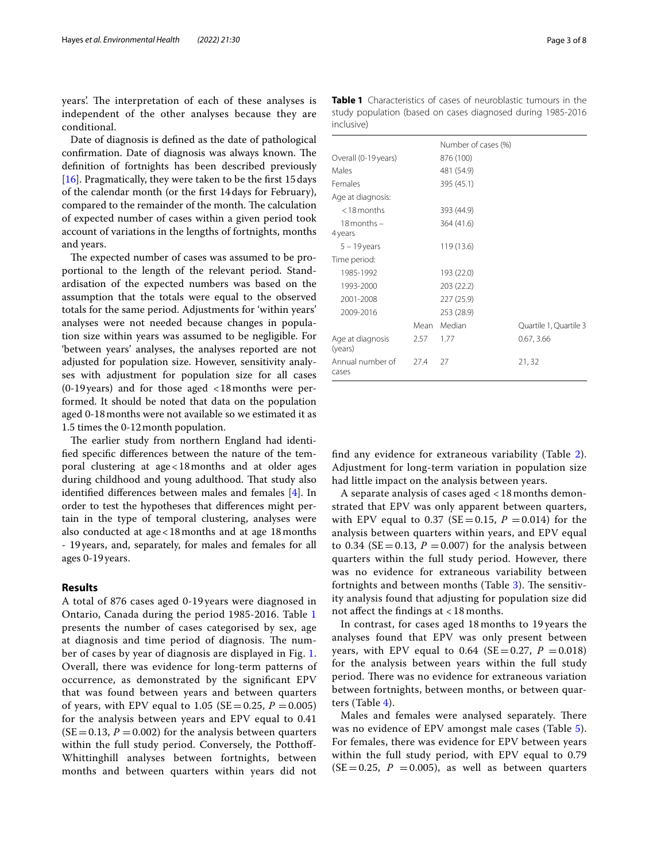years'. The interpretation of each of these analyses is independent of the other analyses because they are conditional.

Date of diagnosis is defned as the date of pathological confirmation. Date of diagnosis was always known. The defnition of fortnights has been described previously [[16\]](#page-6-11). Pragmatically, they were taken to be the first 15 days of the calendar month (or the frst 14days for February), compared to the remainder of the month. The calculation of expected number of cases within a given period took account of variations in the lengths of fortnights, months and years.

The expected number of cases was assumed to be proportional to the length of the relevant period. Standardisation of the expected numbers was based on the assumption that the totals were equal to the observed totals for the same period. Adjustments for 'within years' analyses were not needed because changes in population size within years was assumed to be negligible. For 'between years' analyses, the analyses reported are not adjusted for population size. However, sensitivity analyses with adjustment for population size for all cases (0-19years) and for those aged <18months were performed. It should be noted that data on the population aged 0-18months were not available so we estimated it as 1.5 times the 0-12month population.

The earlier study from northern England had identifed specifc diferences between the nature of the temporal clustering at age<18months and at older ages during childhood and young adulthood. That study also identifed diferences between males and females [[4\]](#page-6-3). In order to test the hypotheses that diferences might pertain in the type of temporal clustering, analyses were also conducted at age<18months and at age 18months - 19years, and, separately, for males and females for all ages 0-19years.

## **Results**

A total of 876 cases aged 0-19 years were diagnosed in Ontario, Canada during the period 1985-2016. Table [1](#page-2-0) presents the number of cases categorised by sex, age at diagnosis and time period of diagnosis. The number of cases by year of diagnosis are displayed in Fig. [1](#page-3-0). Overall, there was evidence for long-term patterns of occurrence, as demonstrated by the signifcant EPV that was found between years and between quarters of years, with EPV equal to  $1.05$  (SE = 0.25, *P* = 0.005) for the analysis between years and EPV equal to 0.41  $(SE = 0.13, P = 0.002)$  for the analysis between quarters within the full study period. Conversely, the Potthoff-Whittinghill analyses between fortnights, between months and between quarters within years did not

|                             |      | Number of cases (%) |                        |
|-----------------------------|------|---------------------|------------------------|
| Overall (0-19 years)        |      | 876 (100)           |                        |
| Males                       |      | 481 (54.9)          |                        |
| Females                     |      | 395 (45.1)          |                        |
| Age at diagnosis:           |      |                     |                        |
| $<$ 18 months               |      | 393 (44.9)          |                        |
| $18$ months $-$             |      | 364 (41.6)          |                        |
| 4 years                     |      |                     |                        |
| $5 - 19$ years              |      | 119 (13.6)          |                        |
| Time period:                |      |                     |                        |
| 1985-1992                   |      | 193 (22.0)          |                        |
| 1993-2000                   |      | 203 (22.2)          |                        |
| 2001-2008                   |      | 227 (25.9)          |                        |
| 2009-2016                   |      | 253 (28.9)          |                        |
|                             | Mean | Median              | Quartile 1, Quartile 3 |
| Age at diagnosis<br>(years) | 2.57 | 1.77                | 0.67, 3.66             |
| Annual number of            | 27.4 | 27                  | 21,32                  |

<span id="page-2-0"></span>**Table 1** Characteristics of cases of neuroblastic tumours in the study population (based on cases diagnosed during 1985-2016 inclusive)

fnd any evidence for extraneous variability (Table [2](#page-3-1)). Adjustment for long-term variation in population size had little impact on the analysis between years.

cases

A separate analysis of cases aged < 18 months demonstrated that EPV was only apparent between quarters, with EPV equal to 0.37 (SE = 0.15,  $P = 0.014$ ) for the analysis between quarters within years, and EPV equal to 0.34 ( $SE = 0.13$ ,  $P = 0.007$ ) for the analysis between quarters within the full study period. However, there was no evidence for extraneous variability between fortnights and between months (Table  $3$ ). The sensitivity analysis found that adjusting for population size did not afect the fndings at < 18 months.

In contrast, for cases aged 18 months to 19 years the analyses found that EPV was only present between years, with EPV equal to  $0.64$  (SE=0.27, *P* = 0.018) for the analysis between years within the full study period. There was no evidence for extraneous variation between fortnights, between months, or between quarters (Table [4\)](#page-4-1).

Males and females were analysed separately. There was no evidence of EPV amongst male cases (Table [5](#page-4-2)). For females, there was evidence for EPV between years within the full study period, with EPV equal to 0.79  $(SE = 0.25, P = 0.005)$ , as well as between quarters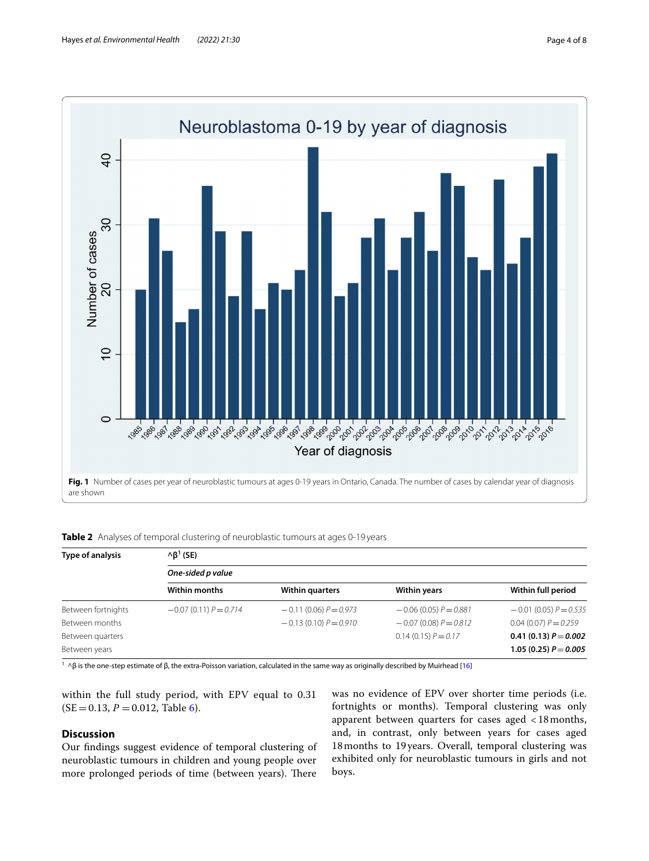

<span id="page-3-1"></span><span id="page-3-0"></span>

| Table 2 Analyses of temporal clustering of neuroblastic tumours at ages 0-19 years |  |  |
|------------------------------------------------------------------------------------|--|--|
|------------------------------------------------------------------------------------|--|--|

| Type of analysis   | $\wedge \beta^1$ (SE)   |                         |                         |                         |  |  |  |  |  |  |  |
|--------------------|-------------------------|-------------------------|-------------------------|-------------------------|--|--|--|--|--|--|--|
|                    | One-sided p value       |                         |                         |                         |  |  |  |  |  |  |  |
|                    | Within months           | <b>Within quarters</b>  | <b>Within years</b>     | Within full period      |  |  |  |  |  |  |  |
| Between fortnights | $-0.07(0.11) P = 0.714$ | $-0.11(0.06) P = 0.973$ | $-0.06(0.05) P = 0.881$ | $-0.01(0.05) P = 0.535$ |  |  |  |  |  |  |  |
| Between months     |                         | $-0.13(0.10) P = 0.910$ | $-0.07(0.08) P = 0.812$ | $0.04(0.07) P = 0.259$  |  |  |  |  |  |  |  |
| Between quarters   |                         |                         | $0.14(0.15) P = 0.17$   | 0.41 (0.13) $P = 0.002$ |  |  |  |  |  |  |  |
| Between years      |                         |                         |                         | 1.05 (0.25) $P = 0.005$ |  |  |  |  |  |  |  |

<sup>1</sup> ^β is the one-step estimate of β, the extra-Poisson variation, calculated in the same way as originally described by Muirhead [\[16\]](#page-6-11)

within the full study period, with EPV equal to 0.31  $(SE = 0.13, P = 0.012,$  Table [6\)](#page-4-3).

## **Discussion**

Our fndings suggest evidence of temporal clustering of neuroblastic tumours in children and young people over more prolonged periods of time (between years). There

was no evidence of EPV over shorter time periods (i.e. fortnights or months). Temporal clustering was only apparent between quarters for cases aged <18months, and, in contrast, only between years for cases aged 18months to 19years. Overall, temporal clustering was exhibited only for neuroblastic tumours in girls and not boys.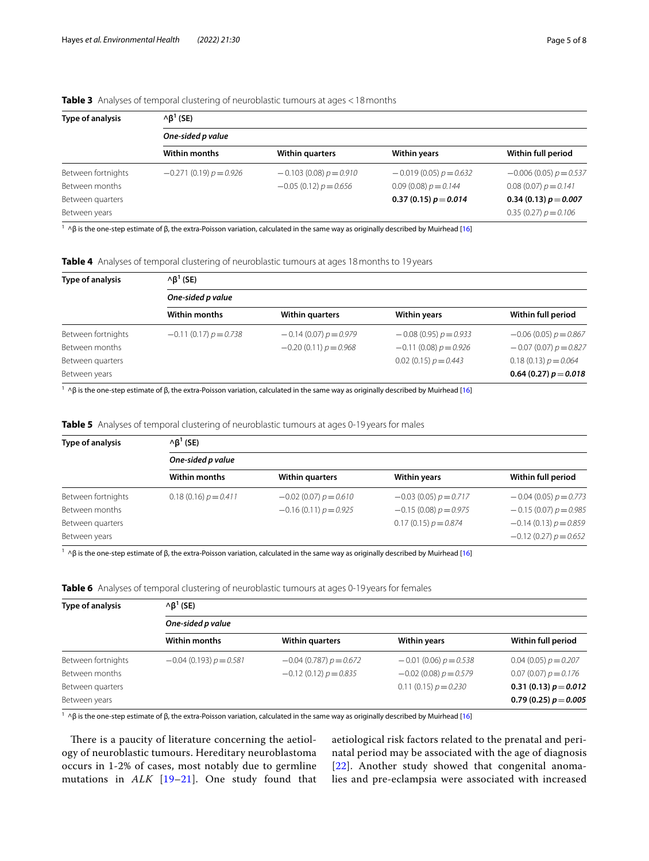| Type of analysis   | $\wedge \beta^1$ (SE)    |                          |                          |                          |  |  |  |  |  |  |  |
|--------------------|--------------------------|--------------------------|--------------------------|--------------------------|--|--|--|--|--|--|--|
|                    | One-sided p value        |                          |                          |                          |  |  |  |  |  |  |  |
|                    | <b>Within months</b>     | <b>Within quarters</b>   | <b>Within years</b>      | Within full period       |  |  |  |  |  |  |  |
| Between fortnights | $-0.271(0.19) p = 0.926$ | $-0.103(0.08) p = 0.910$ | $-0.019(0.05) p = 0.632$ | $-0.006(0.05) p = 0.537$ |  |  |  |  |  |  |  |
| Between months     |                          | $-0.05(0.12) p = 0.656$  | $0.09(0.08) p = 0.144$   | $0.08(0.07) p = 0.141$   |  |  |  |  |  |  |  |
| Between quarters   |                          |                          | 0.37 (0.15) $p = 0.014$  | 0.34 (0.13) $p = 0.007$  |  |  |  |  |  |  |  |
| Between years      |                          |                          |                          | $0.35(0.27) p = 0.106$   |  |  |  |  |  |  |  |

## <span id="page-4-0"></span>**Table 3** Analyses of temporal clustering of neuroblastic tumours at ages <18months

<sup>1</sup> ^β is the one-step estimate of β, the extra-Poisson variation, calculated in the same way as originally described by Muirhead [\[16\]](#page-6-11)

<span id="page-4-1"></span>

|  | Table 4 Analyses of temporal clustering of neuroblastic tumours at ages 18 months to 19 years |  |
|--|-----------------------------------------------------------------------------------------------|--|

| Type of analysis   | $\wedge \beta^1$ (SE)   |                         |                         |                         |  |  |  |  |  |  |  |
|--------------------|-------------------------|-------------------------|-------------------------|-------------------------|--|--|--|--|--|--|--|
|                    | One-sided p value       |                         |                         |                         |  |  |  |  |  |  |  |
|                    | <b>Within months</b>    | <b>Within quarters</b>  | <b>Within years</b>     | Within full period      |  |  |  |  |  |  |  |
| Between fortnights | $-0.11(0.17) p = 0.738$ | $-0.14(0.07) p = 0.979$ | $-0.08(0.95) p = 0.933$ | $-0.06(0.05) p = 0.867$ |  |  |  |  |  |  |  |
| Between months     |                         | $-0.20(0.11) p = 0.968$ | $-0.11(0.08) p = 0.926$ | $-0.07(0.07) p = 0.827$ |  |  |  |  |  |  |  |
| Between quarters   |                         |                         | $0.02(0.15) p = 0.443$  | $0.18(0.13) p = 0.064$  |  |  |  |  |  |  |  |
| Between years      |                         |                         |                         | 0.64 (0.27) $p = 0.018$ |  |  |  |  |  |  |  |

<sup>1</sup> ^β is the one-step estimate of β, the extra-Poisson variation, calculated in the same way as originally described by Muirhead [\[16\]](#page-6-11)

<span id="page-4-2"></span>

|  |  |  | <b>Table 5</b> Analyses of temporal clustering of neuroblastic tumours at ages 0-19 years for males |  |  |  |  |  |  |  |  |
|--|--|--|-----------------------------------------------------------------------------------------------------|--|--|--|--|--|--|--|--|
|  |  |  |                                                                                                     |  |  |  |  |  |  |  |  |

| Type of analysis   | $\wedge \beta^1$ (SE)  |                            |                         |                         |  |  |  |  |  |  |  |
|--------------------|------------------------|----------------------------|-------------------------|-------------------------|--|--|--|--|--|--|--|
|                    | One-sided p value      |                            |                         |                         |  |  |  |  |  |  |  |
|                    | Within months          | <b>Within quarters</b>     | <b>Within years</b>     | Within full period      |  |  |  |  |  |  |  |
| Between fortnights | $0.18(0.16) p = 0.411$ | $-0.02$ (0.07) $p = 0.610$ | $-0.03(0.05) p = 0.717$ | $-0.04(0.05) p = 0.773$ |  |  |  |  |  |  |  |
| Between months     |                        | $-0.16(0.11) p = 0.925$    | $-0.15(0.08) p = 0.975$ | $-0.15(0.07) p = 0.985$ |  |  |  |  |  |  |  |
| Between quarters   |                        |                            | $0.17(0.15) p = 0.874$  | $-0.14(0.13) p = 0.859$ |  |  |  |  |  |  |  |
| Between years      |                        |                            |                         | $-0.12(0.27) p = 0.652$ |  |  |  |  |  |  |  |

<sup>1</sup> ^β is the one-step estimate of β, the extra-Poisson variation, calculated in the same way as originally described by Muirhead [\[16\]](#page-6-11)

<span id="page-4-3"></span>

|  | Table 6 Analyses of temporal clustering of neuroblastic tumours at ages 0-19 years for females |  |  |  |  |
|--|------------------------------------------------------------------------------------------------|--|--|--|--|
|  |                                                                                                |  |  |  |  |

| Type of analysis   | $\wedge \beta^1$ (SE)       |                          |                            |                         |  |  |  |  |  |  |  |
|--------------------|-----------------------------|--------------------------|----------------------------|-------------------------|--|--|--|--|--|--|--|
|                    | One-sided p value           |                          |                            |                         |  |  |  |  |  |  |  |
|                    | Within months               | <b>Within quarters</b>   | <b>Within years</b>        | Within full period      |  |  |  |  |  |  |  |
| Between fortnights | $-0.04$ (0.193) $p = 0.581$ | $-0.04(0.787) p = 0.672$ | $-0.01(0.06) p = 0.538$    | $0.04(0.05) p = 0.207$  |  |  |  |  |  |  |  |
| Between months     |                             | $-0.12(0.12) p = 0.835$  | $-0.02$ (0.08) $p = 0.579$ | $0.07(0.07) p = 0.176$  |  |  |  |  |  |  |  |
| Between quarters   |                             |                          | $0.11(0.15) p = 0.230$     | 0.31 (0.13) $p = 0.012$ |  |  |  |  |  |  |  |
| Between years      |                             |                          |                            | 0.79 (0.25) $p = 0.005$ |  |  |  |  |  |  |  |

<sup>1</sup> ^β is the one-step estimate of β, the extra-Poisson variation, calculated in the same way as originally described by Muirhead [\[16\]](#page-6-11)

There is a paucity of literature concerning the aetiology of neuroblastic tumours. Hereditary neuroblastoma occurs in 1-2% of cases, most notably due to germline mutations in *ALK* [[19](#page-7-1)[–21](#page-7-2)]. One study found that aetiological risk factors related to the prenatal and perinatal period may be associated with the age of diagnosis [[22](#page-7-3)]. Another study showed that congenital anomalies and pre-eclampsia were associated with increased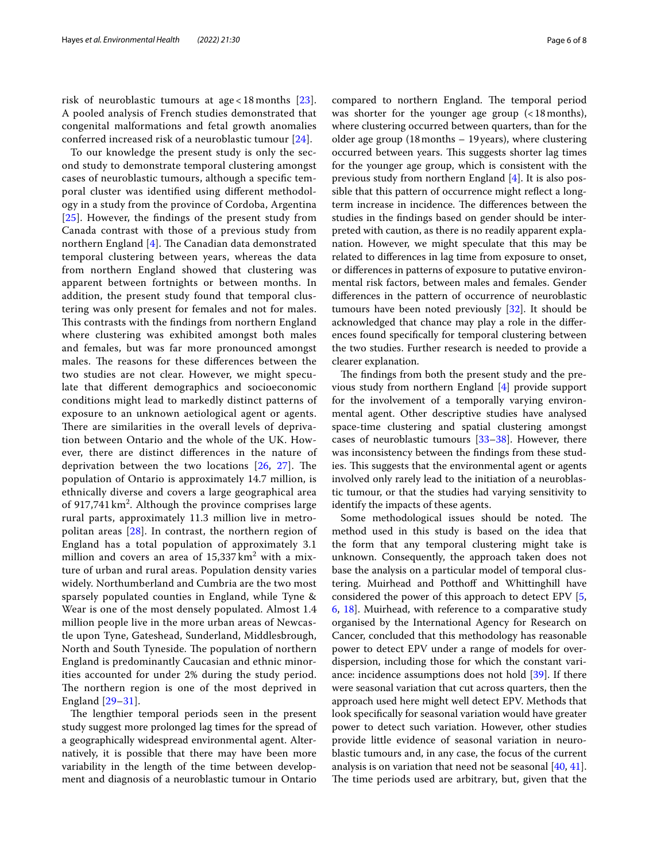risk of neuroblastic tumours at age < 18 months [[23\]](#page-7-4). A pooled analysis of French studies demonstrated that congenital malformations and fetal growth anomalies conferred increased risk of a neuroblastic tumour [[24](#page-7-5)].

To our knowledge the present study is only the second study to demonstrate temporal clustering amongst cases of neuroblastic tumours, although a specifc temporal cluster was identifed using diferent methodology in a study from the province of Cordoba, Argentina [[25](#page-7-6)]. However, the fndings of the present study from Canada contrast with those of a previous study from northern England  $[4]$ . The Canadian data demonstrated temporal clustering between years, whereas the data from northern England showed that clustering was apparent between fortnights or between months. In addition, the present study found that temporal clustering was only present for females and not for males. This contrasts with the findings from northern England where clustering was exhibited amongst both males and females, but was far more pronounced amongst males. The reasons for these differences between the two studies are not clear. However, we might speculate that diferent demographics and socioeconomic conditions might lead to markedly distinct patterns of exposure to an unknown aetiological agent or agents. There are similarities in the overall levels of deprivation between Ontario and the whole of the UK. However, there are distinct diferences in the nature of deprivation between the two locations  $[26, 27]$  $[26, 27]$  $[26, 27]$  $[26, 27]$  $[26, 27]$ . The population of Ontario is approximately 14.7 million, is ethnically diverse and covers a large geographical area of 917,741 km<sup>2</sup>. Although the province comprises large rural parts, approximately 11.3 million live in metropolitan areas [\[28](#page-7-9)]. In contrast, the northern region of England has a total population of approximately 3.1 million and covers an area of  $15{,}337\,\mathrm{km^2}$  with a mixture of urban and rural areas. Population density varies widely. Northumberland and Cumbria are the two most sparsely populated counties in England, while Tyne & Wear is one of the most densely populated. Almost 1.4 million people live in the more urban areas of Newcastle upon Tyne, Gateshead, Sunderland, Middlesbrough, North and South Tyneside. The population of northern England is predominantly Caucasian and ethnic minorities accounted for under 2% during the study period. The northern region is one of the most deprived in England [[29](#page-7-10)[–31](#page-7-11)].

The lengthier temporal periods seen in the present study suggest more prolonged lag times for the spread of a geographically widespread environmental agent. Alternatively, it is possible that there may have been more variability in the length of the time between development and diagnosis of a neuroblastic tumour in Ontario compared to northern England. The temporal period was shorter for the younger age group (<18months), where clustering occurred between quarters, than for the older age group (18months – 19years), where clustering occurred between years. This suggests shorter lag times for the younger age group, which is consistent with the previous study from northern England [[4\]](#page-6-3). It is also possible that this pattern of occurrence might refect a longterm increase in incidence. The differences between the studies in the fndings based on gender should be interpreted with caution, as there is no readily apparent explanation. However, we might speculate that this may be related to diferences in lag time from exposure to onset, or diferences in patterns of exposure to putative environmental risk factors, between males and females. Gender diferences in the pattern of occurrence of neuroblastic tumours have been noted previously [[32](#page-7-12)]. It should be acknowledged that chance may play a role in the diferences found specifcally for temporal clustering between the two studies. Further research is needed to provide a clearer explanation.

The findings from both the present study and the previous study from northern England [\[4](#page-6-3)] provide support for the involvement of a temporally varying environmental agent. Other descriptive studies have analysed space-time clustering and spatial clustering amongst cases of neuroblastic tumours [\[33](#page-7-13)[–38](#page-7-14)]. However, there was inconsistency between the fndings from these studies. This suggests that the environmental agent or agents involved only rarely lead to the initiation of a neuroblastic tumour, or that the studies had varying sensitivity to identify the impacts of these agents.

Some methodological issues should be noted. The method used in this study is based on the idea that the form that any temporal clustering might take is unknown. Consequently, the approach taken does not base the analysis on a particular model of temporal clustering. Muirhead and Potthoff and Whittinghill have considered the power of this approach to detect EPV [\[5](#page-6-4), [6,](#page-6-5) [18](#page-7-0)]. Muirhead, with reference to a comparative study organised by the International Agency for Research on Cancer, concluded that this methodology has reasonable power to detect EPV under a range of models for overdispersion, including those for which the constant variance: incidence assumptions does not hold [[39](#page-7-15)]. If there were seasonal variation that cut across quarters, then the approach used here might well detect EPV. Methods that look specifcally for seasonal variation would have greater power to detect such variation. However, other studies provide little evidence of seasonal variation in neuroblastic tumours and, in any case, the focus of the current analysis is on variation that need not be seasonal [[40,](#page-7-16) [41](#page-7-17)]. The time periods used are arbitrary, but, given that the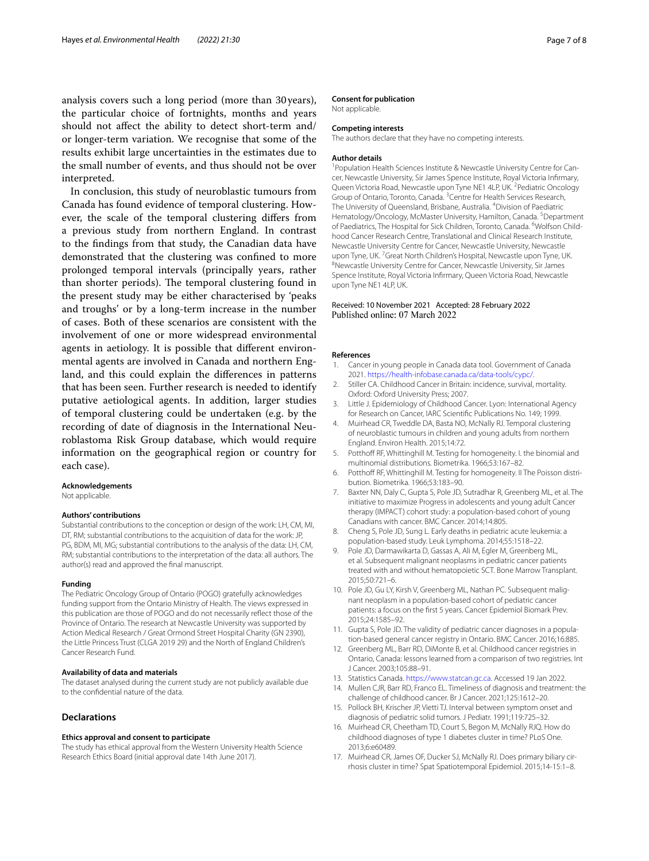analysis covers such a long period (more than 30years), the particular choice of fortnights, months and years should not afect the ability to detect short-term and/ or longer-term variation. We recognise that some of the results exhibit large uncertainties in the estimates due to the small number of events, and thus should not be over interpreted.

In conclusion, this study of neuroblastic tumours from Canada has found evidence of temporal clustering. However, the scale of the temporal clustering difers from a previous study from northern England. In contrast to the fndings from that study, the Canadian data have demonstrated that the clustering was confned to more prolonged temporal intervals (principally years, rather than shorter periods). The temporal clustering found in the present study may be either characterised by 'peaks and troughs' or by a long-term increase in the number of cases. Both of these scenarios are consistent with the involvement of one or more widespread environmental agents in aetiology. It is possible that diferent environmental agents are involved in Canada and northern England, and this could explain the diferences in patterns that has been seen. Further research is needed to identify putative aetiological agents. In addition, larger studies of temporal clustering could be undertaken (e.g. by the recording of date of diagnosis in the International Neuroblastoma Risk Group database, which would require information on the geographical region or country for each case).

#### **Acknowledgements**

Not applicable.

#### **Authors' contributions**

Substantial contributions to the conception or design of the work: LH, CM, MI, DT, RM; substantial contributions to the acquisition of data for the work: JP, PG, BDM, MI, MG; substantial contributions to the analysis of the data: LH, CM, RM; substantial contributions to the interpretation of the data: all authors. The author(s) read and approved the fnal manuscript.

#### **Funding**

The Pediatric Oncology Group of Ontario (POGO) gratefully acknowledges funding support from the Ontario Ministry of Health. The views expressed in this publication are those of POGO and do not necessarily refect those of the Province of Ontario. The research at Newcastle University was supported by Action Medical Research / Great Ormond Street Hospital Charity (GN 2390), the Little Princess Trust (CLGA 2019 29) and the North of England Children's Cancer Research Fund.

#### **Availability of data and materials**

The dataset analysed during the current study are not publicly available due to the confdential nature of the data.

## **Declarations**

#### **Ethics approval and consent to participate**

The study has ethical approval from the Western University Health Science Research Ethics Board (initial approval date 14th June 2017).

#### **Consent for publication**

Not applicable.

#### **Competing interests**

The authors declare that they have no competing interests.

#### **Author details**

<sup>1</sup> Population Health Sciences Institute & Newcastle University Centre for Cancer, Newcastle University, Sir James Spence Institute, Royal Victoria Infrmary, Queen Victoria Road, Newcastle upon Tyne NE1 4LP, UK.<sup>2</sup> Pediatric Oncology Group of Ontario, Toronto, Canada. <sup>3</sup> Centre for Health Services Research, The University of Queensland, Brisbane, Australia. <sup>4</sup> Division of Paediatric Hematology/Oncology, McMaster University, Hamilton, Canada.<sup>5</sup>Department of Paediatrics, The Hospital for Sick Children, Toronto, Canada. <sup>6</sup>Wolfson Childhood Cancer Research Centre, Translational and Clinical Research Institute, Newcastle University Centre for Cancer, Newcastle University, Newcastle upon Tyne, UK. <sup>7</sup> Great North Children's Hospital, Newcastle upon Tyne, UK.<br><sup>8</sup>Newcastle University Centre for Cancer Newcastle University Sir James Newcastle University Centre for Cancer, Newcastle University, Sir James Spence Institute, Royal Victoria Infrmary, Queen Victoria Road, Newcastle upon Tyne NE1 4LP, UK.

#### Received: 10 November 2021 Accepted: 28 February 2022 Published online: 07 March 2022

#### **References**

- <span id="page-6-0"></span>1. Cancer in young people in Canada data tool. Government of Canada 2021.<https://health-infobase.canada.ca/data-tools/cypc/>.
- <span id="page-6-1"></span>2. Stiller CA. Childhood Cancer in Britain: incidence, survival, mortality. Oxford: Oxford University Press; 2007.
- <span id="page-6-2"></span>3. Little J. Epidemiology of Childhood Cancer. Lyon: International Agency for Research on Cancer, IARC Scientifc Publications No. 149; 1999.
- <span id="page-6-3"></span>4. Muirhead CR, Tweddle DA, Basta NO, McNally RJ. Temporal clustering of neuroblastic tumours in children and young adults from northern England. Environ Health. 2015;14:72.
- <span id="page-6-4"></span>5. Potthoff RF, Whittinghill M. Testing for homogeneity. I. the binomial and multinomial distributions. Biometrika. 1966;53:167–82.
- <span id="page-6-5"></span>6. Potthoff RF, Whittinghill M. Testing for homogeneity. II The Poisson distribution. Biometrika. 1966;53:183–90.
- <span id="page-6-6"></span>7. Baxter NN, Daly C, Gupta S, Pole JD, Sutradhar R, Greenberg ML, et al. The initiative to maximize Progress in adolescents and young adult Cancer therapy (IMPACT) cohort study: a population-based cohort of young Canadians with cancer. BMC Cancer. 2014;14:805.
- 8. Cheng S, Pole JD, Sung L. Early deaths in pediatric acute leukemia: a population-based study. Leuk Lymphoma. 2014;55:1518–22.
- 9. Pole JD, Darmawikarta D, Gassas A, Ali M, Egler M, Greenberg ML, et al. Subsequent malignant neoplasms in pediatric cancer patients treated with and without hematopoietic SCT. Bone Marrow Transplant. 2015;50:721–6.
- 10. Pole JD, Gu LY, Kirsh V, Greenberg ML, Nathan PC. Subsequent malignant neoplasm in a population-based cohort of pediatric cancer patients: a focus on the frst 5 years. Cancer Epidemiol Biomark Prev. 2015;24:1585–92.
- 11. Gupta S, Pole JD. The validity of pediatric cancer diagnoses in a population-based general cancer registry in Ontario. BMC Cancer. 2016;16:885.
- <span id="page-6-7"></span>12. Greenberg ML, Barr RD, DiMonte B, et al. Childhood cancer registries in Ontario, Canada: lessons learned from a comparison of two registries. Int J Cancer. 2003;105:88–91.
- <span id="page-6-8"></span>13. Statistics Canada. [https://www.statcan.gc.ca.](https://www.statcan.gc.ca) Accessed 19 Jan 2022.
- <span id="page-6-9"></span>14. Mullen CJR, Barr RD, Franco EL. Timeliness of diagnosis and treatment: the challenge of childhood cancer. Br J Cancer. 2021;125:1612–20.
- <span id="page-6-10"></span>15. Pollock BH, Krischer JP, Vietti TJ. Interval between symptom onset and diagnosis of pediatric solid tumors. J Pediatr. 1991;119:725–32.
- <span id="page-6-11"></span>16. Muirhead CR, Cheetham TD, Court S, Begon M, McNally RJQ. How do childhood diagnoses of type 1 diabetes cluster in time? PLoS One. 2013;6:e60489.
- <span id="page-6-12"></span>17. Muirhead CR, James OF, Ducker SJ, McNally RJ. Does primary biliary cirrhosis cluster in time? Spat Spatiotemporal Epidemiol. 2015;14-15:1–8.